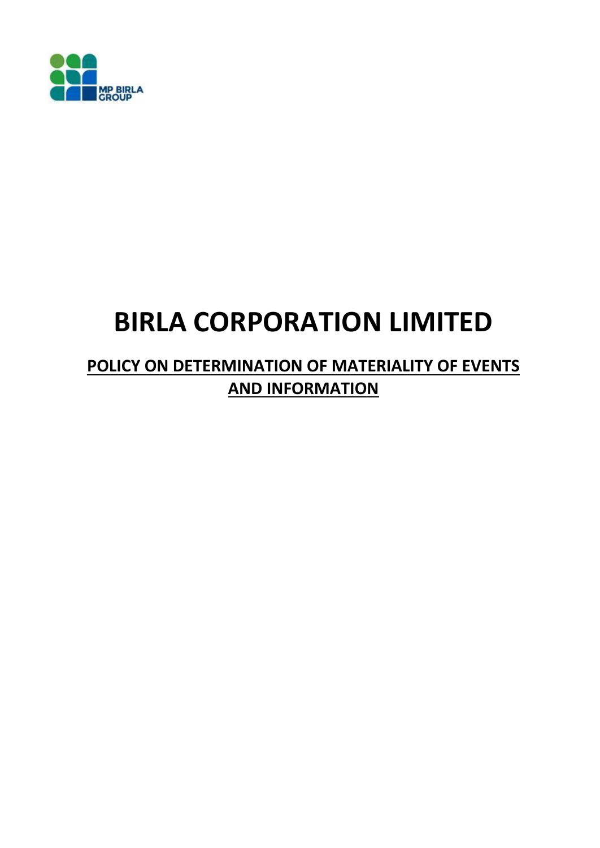

# **BIRLA CORPORATION LIMITED**

# **POLICY ON DETERMINATION OF MATERIALITY OF EVENTS AND INFORMATION**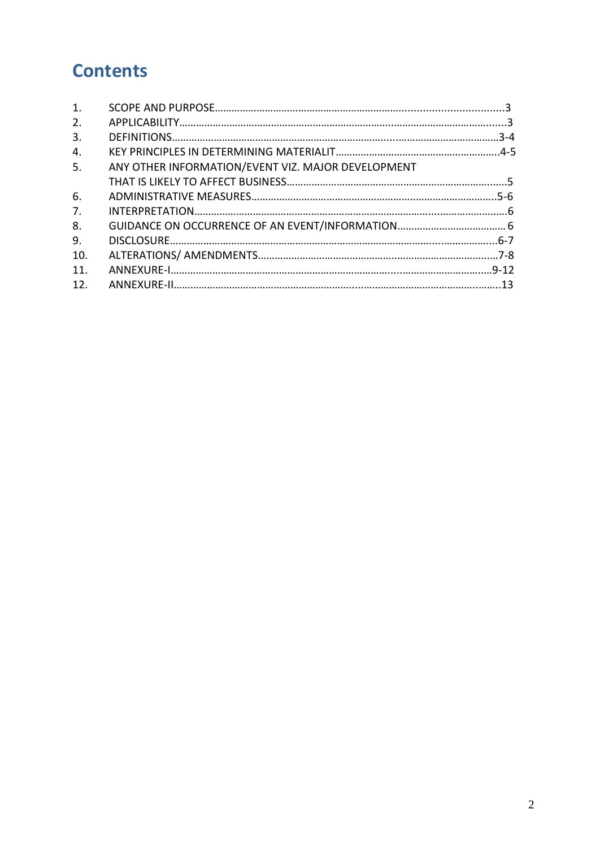# **Contents**

| 1.              |                                                    |  |
|-----------------|----------------------------------------------------|--|
| 2.              |                                                    |  |
| 3.              |                                                    |  |
| 4.              |                                                    |  |
| 5.              | ANY OTHER INFORMATION/EVENT VIZ. MAJOR DEVELOPMENT |  |
|                 |                                                    |  |
| 6.              |                                                    |  |
| 7 <sub>1</sub>  |                                                    |  |
| 8.              |                                                    |  |
| 9.              |                                                    |  |
| 10.             |                                                    |  |
| 11 <sub>1</sub> |                                                    |  |
| 12.             |                                                    |  |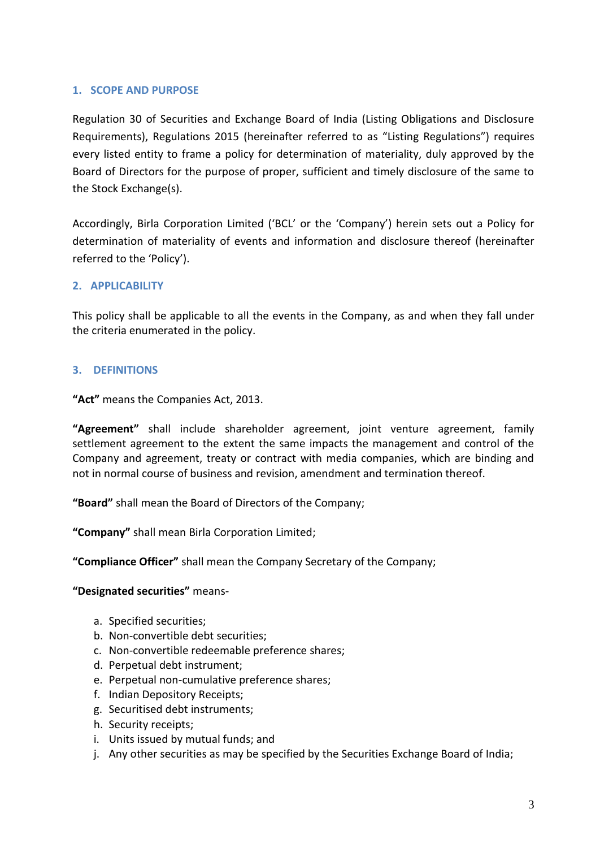## **1. SCOPE AND PURPOSE**

Regulation 30 of Securities and Exchange Board of India (Listing Obligations and Disclosure Requirements), Regulations 2015 (hereinafter referred to as "Listing Regulations") requires every listed entity to frame a policy for determination of materiality, duly approved by the Board of Directors for the purpose of proper, sufficient and timely disclosure of the same to the Stock Exchange(s).

Accordingly, Birla Corporation Limited ('BCL' or the 'Company') herein sets out a Policy for determination of materiality of events and information and disclosure thereof (hereinafter referred to the 'Policy').

## **2. APPLICABILITY**

This policy shall be applicable to all the events in the Company, as and when they fall under the criteria enumerated in the policy.

# **3. DEFINITIONS**

**"Act"** means the Companies Act, 2013.

**"Agreement"** shall include shareholder agreement, joint venture agreement, family settlement agreement to the extent the same impacts the management and control of the Company and agreement, treaty or contract with media companies, which are binding and not in normal course of business and revision, amendment and termination thereof.

**"Board"** shall mean the Board of Directors of the Company;

**"Company"** shall mean Birla Corporation Limited;

**"Compliance Officer"** shall mean the Company Secretary of the Company;

## **"Designated securities"** means-

- a. Specified securities;
- b. Non-convertible debt securities;
- c. Non-convertible redeemable preference shares;
- d. Perpetual debt instrument;
- e. Perpetual non-cumulative preference shares;
- f. Indian Depository Receipts;
- g. Securitised debt instruments;
- h. Security receipts;
- i. Units issued by mutual funds; and
- j. Any other securities as may be specified by the Securities Exchange Board of India;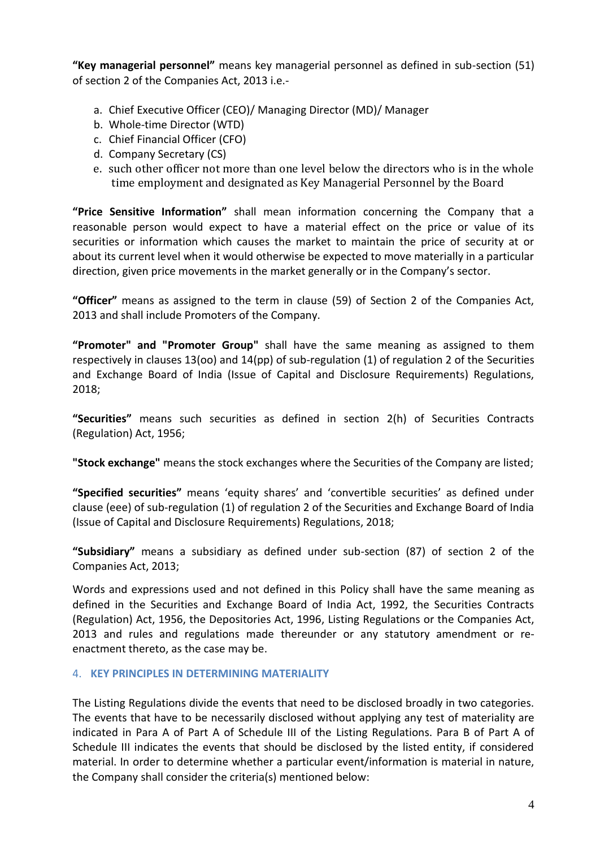**"Key managerial personnel"** means key managerial personnel as defined in sub-section (51) of section 2 of the Companies Act, 2013 i.e.-

- a. Chief Executive Officer (CEO)/ Managing Director (MD)/ Manager
- b. Whole-time Director (WTD)
- c. Chief Financial Officer (CFO)
- d. Company Secretary (CS)
- e. such other officer not more than one level below the directors who is in the whole time employment and designated as Key Managerial Personnel by the Board

**"Price Sensitive Information"** shall mean information concerning the Company that a reasonable person would expect to have a material effect on the price or value of its securities or information which causes the market to maintain the price of security at or about its current level when it would otherwise be expected to move materially in a particular direction, given price movements in the market generally or in the Company's sector.

**"Officer"** means as assigned to the term in clause (59) of Section 2 of the Companies Act, 2013 and shall include Promoters of the Company.

**"Promoter" and "Promoter Group"** shall have the same meaning as assigned to them respectively in clauses 13(oo) and 14(pp) of sub-regulation (1) of regulation 2 of the Securities and Exchange Board of India (Issue of Capital and Disclosure Requirements) Regulations, 2018;

**"Securities"** means such securities as defined in section 2(h) of Securities Contracts (Regulation) Act, 1956;

**"Stock exchange"** means the stock exchanges where the Securities of the Company are listed;

**"Specified securities"** means 'equity shares' and 'convertible securities' as defined under clause (eee) of sub-regulation (1) of regulation 2 of the Securities and Exchange Board of India (Issue of Capital and Disclosure Requirements) Regulations, 2018;

**"Subsidiary"** means a subsidiary as defined under sub-section (87) of section 2 of the Companies Act, 2013;

Words and expressions used and not defined in this Policy shall have the same meaning as defined in the Securities and Exchange Board of India Act, 1992, the Securities Contracts (Regulation) Act, 1956, the Depositories Act, 1996, Listing Regulations or the Companies Act, 2013 and rules and regulations made thereunder or any statutory amendment or reenactment thereto, as the case may be.

## 4. **KEY PRINCIPLES IN DETERMINING MATERIALITY**

The Listing Regulations divide the events that need to be disclosed broadly in two categories. The events that have to be necessarily disclosed without applying any test of materiality are indicated in Para A of Part A of Schedule III of the Listing Regulations. Para B of Part A of Schedule III indicates the events that should be disclosed by the listed entity, if considered material. In order to determine whether a particular event/information is material in nature, the Company shall consider the criteria(s) mentioned below: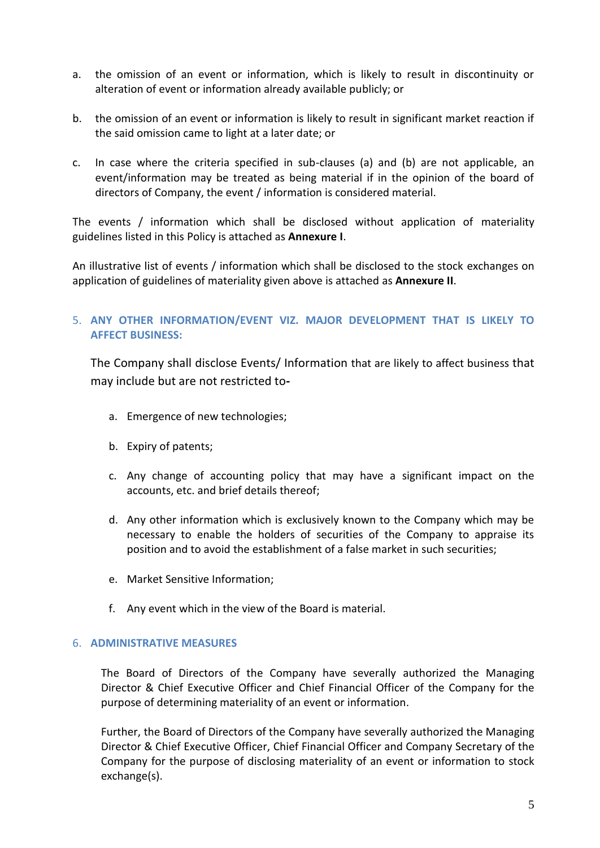- a. the omission of an event or information, which is likely to result in discontinuity or alteration of event or information already available publicly; or
- b. the omission of an event or information is likely to result in significant market reaction if the said omission came to light at a later date; or
- c. In case where the criteria specified in sub-clauses (a) and (b) are not applicable, an event/information may be treated as being material if in the opinion of the board of directors of Company, the event / information is considered material.

The events / information which shall be disclosed without application of materiality guidelines listed in this Policy is attached as **Annexure I**.

An illustrative list of events / information which shall be disclosed to the stock exchanges on application of guidelines of materiality given above is attached as **Annexure II**.

# 5. **ANY OTHER INFORMATION/EVENT VIZ. MAJOR DEVELOPMENT THAT IS LIKELY TO AFFECT BUSINESS:**

The Company shall disclose Events/ Information that are likely to affect business that may include but are not restricted to**-**

- a. Emergence of new technologies;
- b. Expiry of patents;
- c. Any change of accounting policy that may have a significant impact on the accounts, etc. and brief details thereof;
- d. Any other information which is exclusively known to the Company which may be necessary to enable the holders of securities of the Company to appraise its position and to avoid the establishment of a false market in such securities;
- e. Market Sensitive Information;
- f. Any event which in the view of the Board is material.

#### 6. **ADMINISTRATIVE MEASURES**

The Board of Directors of the Company have severally authorized the Managing Director & Chief Executive Officer and Chief Financial Officer of the Company for the purpose of determining materiality of an event or information.

Further, the Board of Directors of the Company have severally authorized the Managing Director & Chief Executive Officer, Chief Financial Officer and Company Secretary of the Company for the purpose of disclosing materiality of an event or information to stock exchange(s).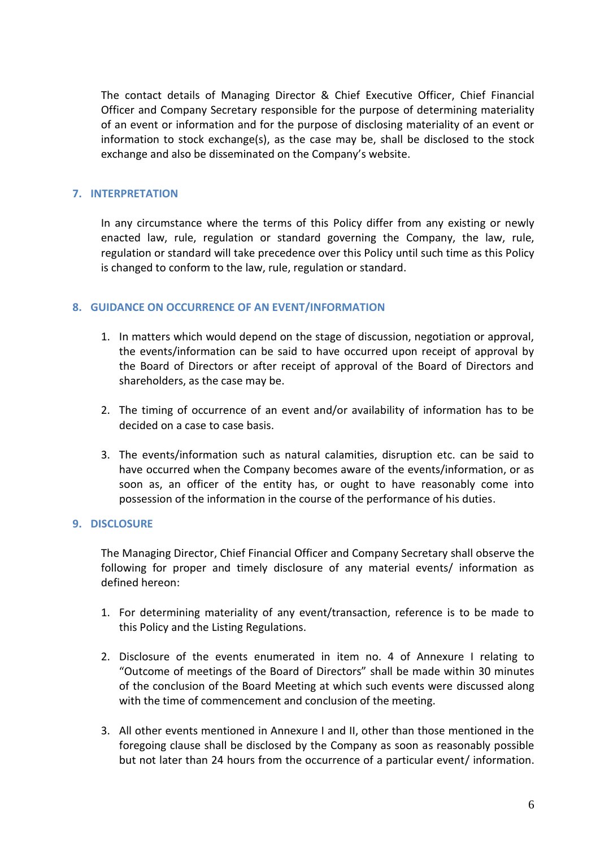The contact details of Managing Director & Chief Executive Officer, Chief Financial Officer and Company Secretary responsible for the purpose of determining materiality of an event or information and for the purpose of disclosing materiality of an event or information to stock exchange(s), as the case may be, shall be disclosed to the stock exchange and also be disseminated on the Company's website.

#### **7. INTERPRETATION**

In any circumstance where the terms of this Policy differ from any existing or newly enacted law, rule, regulation or standard governing the Company, the law, rule, regulation or standard will take precedence over this Policy until such time as this Policy is changed to conform to the law, rule, regulation or standard.

#### **8. GUIDANCE ON OCCURRENCE OF AN EVENT/INFORMATION**

- 1. In matters which would depend on the stage of discussion, negotiation or approval, the events/information can be said to have occurred upon receipt of approval by the Board of Directors or after receipt of approval of the Board of Directors and shareholders, as the case may be.
- 2. The timing of occurrence of an event and/or availability of information has to be decided on a case to case basis.
- 3. The events/information such as natural calamities, disruption etc. can be said to have occurred when the Company becomes aware of the events/information, or as soon as, an officer of the entity has, or ought to have reasonably come into possession of the information in the course of the performance of his duties.

#### **9. DISCLOSURE**

The Managing Director, Chief Financial Officer and Company Secretary shall observe the following for proper and timely disclosure of any material events/ information as defined hereon:

- 1. For determining materiality of any event/transaction, reference is to be made to this Policy and the Listing Regulations.
- 2. Disclosure of the events enumerated in item no. 4 of Annexure I relating to "Outcome of meetings of the Board of Directors" shall be made within 30 minutes of the conclusion of the Board Meeting at which such events were discussed along with the time of commencement and conclusion of the meeting.
- 3. All other events mentioned in Annexure I and II, other than those mentioned in the foregoing clause shall be disclosed by the Company as soon as reasonably possible but not later than 24 hours from the occurrence of a particular event/ information.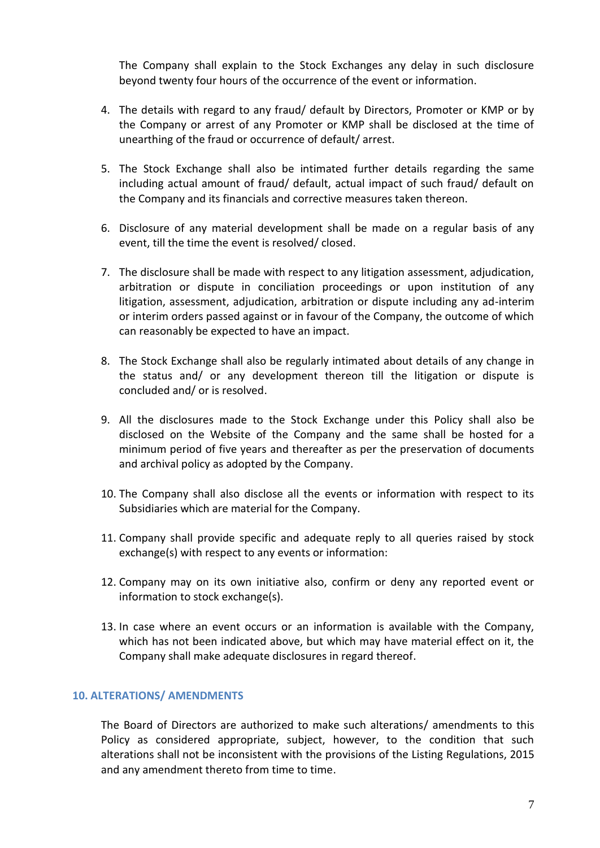The Company shall explain to the Stock Exchanges any delay in such disclosure beyond twenty four hours of the occurrence of the event or information.

- 4. The details with regard to any fraud/ default by Directors, Promoter or KMP or by the Company or arrest of any Promoter or KMP shall be disclosed at the time of unearthing of the fraud or occurrence of default/ arrest.
- 5. The Stock Exchange shall also be intimated further details regarding the same including actual amount of fraud/ default, actual impact of such fraud/ default on the Company and its financials and corrective measures taken thereon.
- 6. Disclosure of any material development shall be made on a regular basis of any event, till the time the event is resolved/ closed.
- 7. The disclosure shall be made with respect to any litigation assessment, adjudication, arbitration or dispute in conciliation proceedings or upon institution of any litigation, assessment, adjudication, arbitration or dispute including any ad-interim or interim orders passed against or in favour of the Company, the outcome of which can reasonably be expected to have an impact.
- 8. The Stock Exchange shall also be regularly intimated about details of any change in the status and/ or any development thereon till the litigation or dispute is concluded and/ or is resolved.
- 9. All the disclosures made to the Stock Exchange under this Policy shall also be disclosed on the Website of the Company and the same shall be hosted for a minimum period of five years and thereafter as per the preservation of documents and archival policy as adopted by the Company.
- 10. The Company shall also disclose all the events or information with respect to its Subsidiaries which are material for the Company.
- 11. Company shall provide specific and adequate reply to all queries raised by stock exchange(s) with respect to any events or information:
- 12. Company may on its own initiative also, confirm or deny any reported event or information to stock exchange(s).
- 13. In case where an event occurs or an information is available with the Company, which has not been indicated above, but which may have material effect on it, the Company shall make adequate disclosures in regard thereof.

#### **10. ALTERATIONS/ AMENDMENTS**

The Board of Directors are authorized to make such alterations/ amendments to this Policy as considered appropriate, subject, however, to the condition that such alterations shall not be inconsistent with the provisions of the Listing Regulations, 2015 and any amendment thereto from time to time.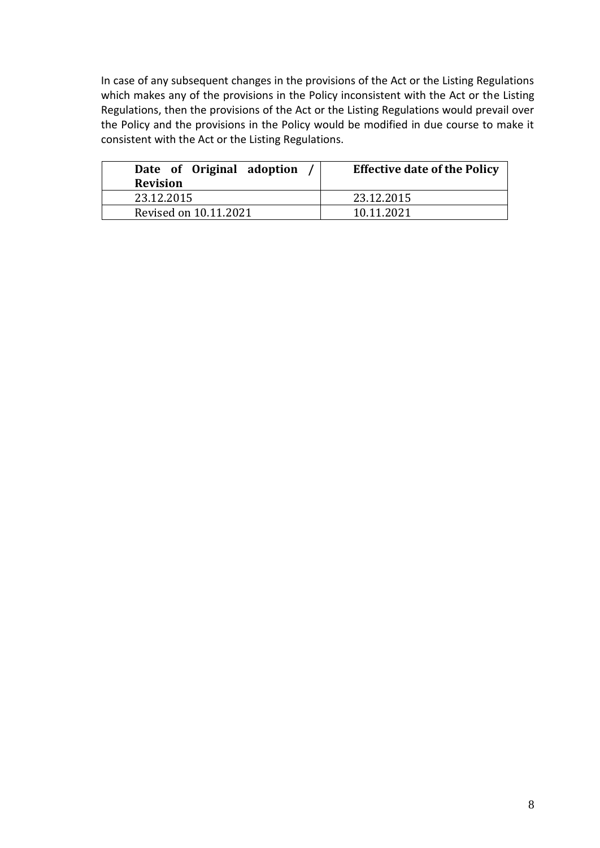In case of any subsequent changes in the provisions of the Act or the Listing Regulations which makes any of the provisions in the Policy inconsistent with the Act or the Listing Regulations, then the provisions of the Act or the Listing Regulations would prevail over the Policy and the provisions in the Policy would be modified in due course to make it consistent with the Act or the Listing Regulations.

| Date of Original adoption<br><b>Revision</b> | <b>Effective date of the Policy</b> |
|----------------------------------------------|-------------------------------------|
| 23.12.2015                                   | 23.12.2015                          |
| Revised on 10.11.2021                        | 10.11.2021                          |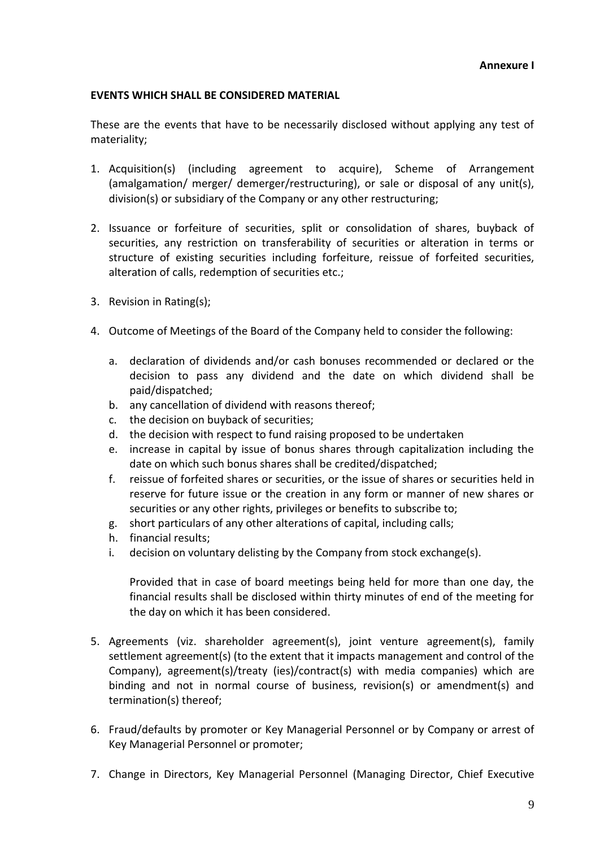#### **EVENTS WHICH SHALL BE CONSIDERED MATERIAL**

These are the events that have to be necessarily disclosed without applying any test of materiality;

- 1. Acquisition(s) (including agreement to acquire), Scheme of Arrangement (amalgamation/ merger/ demerger/restructuring), or sale or disposal of any unit(s), division(s) or subsidiary of the Company or any other restructuring;
- 2. Issuance or forfeiture of securities, split or consolidation of shares, buyback of securities, any restriction on transferability of securities or alteration in terms or structure of existing securities including forfeiture, reissue of forfeited securities, alteration of calls, redemption of securities etc.;
- 3. Revision in Rating(s);
- 4. Outcome of Meetings of the Board of the Company held to consider the following:
	- a. declaration of dividends and/or cash bonuses recommended or declared or the decision to pass any dividend and the date on which dividend shall be paid/dispatched;
	- b. any cancellation of dividend with reasons thereof;
	- c. the decision on buyback of securities;
	- d. the decision with respect to fund raising proposed to be undertaken
	- e. increase in capital by issue of bonus shares through capitalization including the date on which such bonus shares shall be credited/dispatched;
	- f. reissue of forfeited shares or securities, or the issue of shares or securities held in reserve for future issue or the creation in any form or manner of new shares or securities or any other rights, privileges or benefits to subscribe to;
	- g. short particulars of any other alterations of capital, including calls;
	- h. financial results;
	- i. decision on voluntary delisting by the Company from stock exchange(s).

Provided that in case of board meetings being held for more than one day, the financial results shall be disclosed within thirty minutes of end of the meeting for the day on which it has been considered.

- 5. Agreements (viz. shareholder agreement(s), joint venture agreement(s), family settlement agreement(s) (to the extent that it impacts management and control of the Company), agreement(s)/treaty (ies)/contract(s) with media companies) which are binding and not in normal course of business, revision(s) or amendment(s) and termination(s) thereof;
- 6. Fraud/defaults by promoter or Key Managerial Personnel or by Company or arrest of Key Managerial Personnel or promoter;
- 7. Change in Directors, Key Managerial Personnel (Managing Director, Chief Executive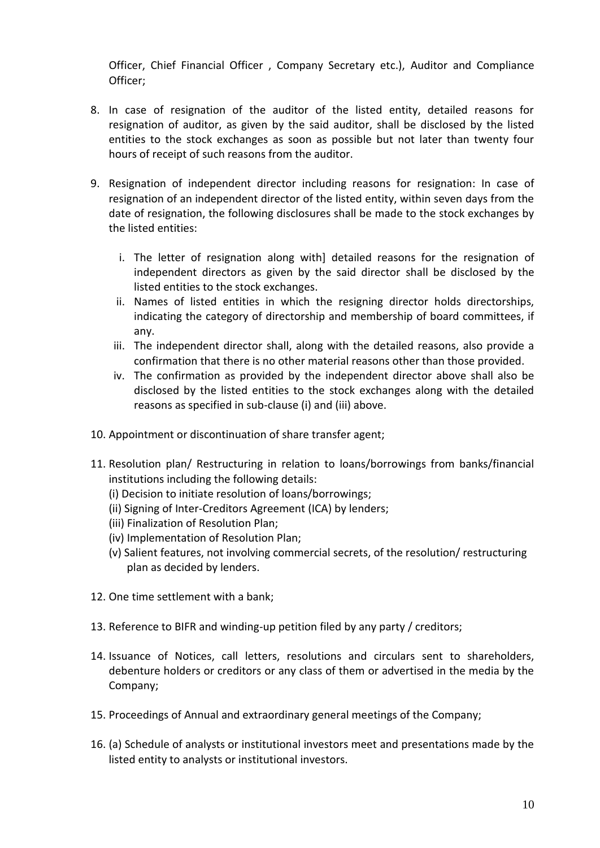Officer, Chief Financial Officer , Company Secretary etc.), Auditor and Compliance Officer;

- 8. In case of resignation of the auditor of the listed entity, detailed reasons for resignation of auditor, as given by the said auditor, shall be disclosed by the listed entities to the stock exchanges as soon as possible but not later than twenty four hours of receipt of such reasons from the auditor.
- 9. Resignation of independent director including reasons for resignation: In case of resignation of an independent director of the listed entity, within seven days from the date of resignation, the following disclosures shall be made to the stock exchanges by the listed entities:
	- i. The letter of resignation along with] detailed reasons for the resignation of independent directors as given by the said director shall be disclosed by the listed entities to the stock exchanges.
	- ii. Names of listed entities in which the resigning director holds directorships, indicating the category of directorship and membership of board committees, if any.
	- iii. The independent director shall, along with the detailed reasons, also provide a confirmation that there is no other material reasons other than those provided.
	- iv. The confirmation as provided by the independent director above shall also be disclosed by the listed entities to the stock exchanges along with the detailed reasons as specified in sub-clause (i) and (iii) above.
- 10. Appointment or discontinuation of share transfer agent;
- 11. Resolution plan/ Restructuring in relation to loans/borrowings from banks/financial institutions including the following details:
	- (i) Decision to initiate resolution of loans/borrowings;
	- (ii) Signing of Inter-Creditors Agreement (ICA) by lenders;
	- (iii) Finalization of Resolution Plan;
	- (iv) Implementation of Resolution Plan;
	- (v) Salient features, not involving commercial secrets, of the resolution/ restructuring plan as decided by lenders.
- 12. One time settlement with a bank;
- 13. Reference to BIFR and winding-up petition filed by any party / creditors;
- 14. Issuance of Notices, call letters, resolutions and circulars sent to shareholders, debenture holders or creditors or any class of them or advertised in the media by the Company;
- 15. Proceedings of Annual and extraordinary general meetings of the Company;
- 16. (a) Schedule of analysts or institutional investors meet and presentations made by the listed entity to analysts or institutional investors.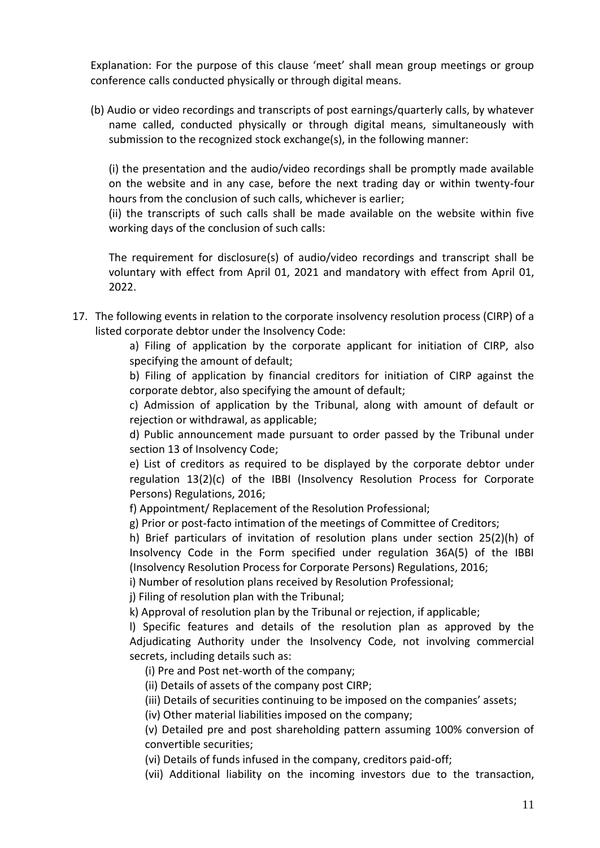Explanation: For the purpose of this clause 'meet' shall mean group meetings or group conference calls conducted physically or through digital means.

(b) Audio or video recordings and transcripts of post earnings/quarterly calls, by whatever name called, conducted physically or through digital means, simultaneously with submission to the recognized stock exchange(s), in the following manner:

(i) the presentation and the audio/video recordings shall be promptly made available on the website and in any case, before the next trading day or within twenty-four hours from the conclusion of such calls, whichever is earlier;

(ii) the transcripts of such calls shall be made available on the website within five working days of the conclusion of such calls:

The requirement for disclosure(s) of audio/video recordings and transcript shall be voluntary with effect from April 01, 2021 and mandatory with effect from April 01, 2022.

17. The following events in relation to the corporate insolvency resolution process (CIRP) of a listed corporate debtor under the Insolvency Code:

> a) Filing of application by the corporate applicant for initiation of CIRP, also specifying the amount of default;

> b) Filing of application by financial creditors for initiation of CIRP against the corporate debtor, also specifying the amount of default;

> c) Admission of application by the Tribunal, along with amount of default or rejection or withdrawal, as applicable;

> d) Public announcement made pursuant to order passed by the Tribunal under section 13 of Insolvency Code;

> e) List of creditors as required to be displayed by the corporate debtor under regulation 13(2)(c) of the IBBI (Insolvency Resolution Process for Corporate Persons) Regulations, 2016;

f) Appointment/ Replacement of the Resolution Professional;

g) Prior or post-facto intimation of the meetings of Committee of Creditors;

h) Brief particulars of invitation of resolution plans under section 25(2)(h) of Insolvency Code in the Form specified under regulation 36A(5) of the IBBI (Insolvency Resolution Process for Corporate Persons) Regulations, 2016;

i) Number of resolution plans received by Resolution Professional;

j) Filing of resolution plan with the Tribunal;

k) Approval of resolution plan by the Tribunal or rejection, if applicable;

l) Specific features and details of the resolution plan as approved by the Adjudicating Authority under the Insolvency Code, not involving commercial secrets, including details such as:

(i) Pre and Post net-worth of the company;

(ii) Details of assets of the company post CIRP;

(iii) Details of securities continuing to be imposed on the companies' assets;

(iv) Other material liabilities imposed on the company;

(v) Detailed pre and post shareholding pattern assuming 100% conversion of convertible securities;

(vi) Details of funds infused in the company, creditors paid-off;

(vii) Additional liability on the incoming investors due to the transaction,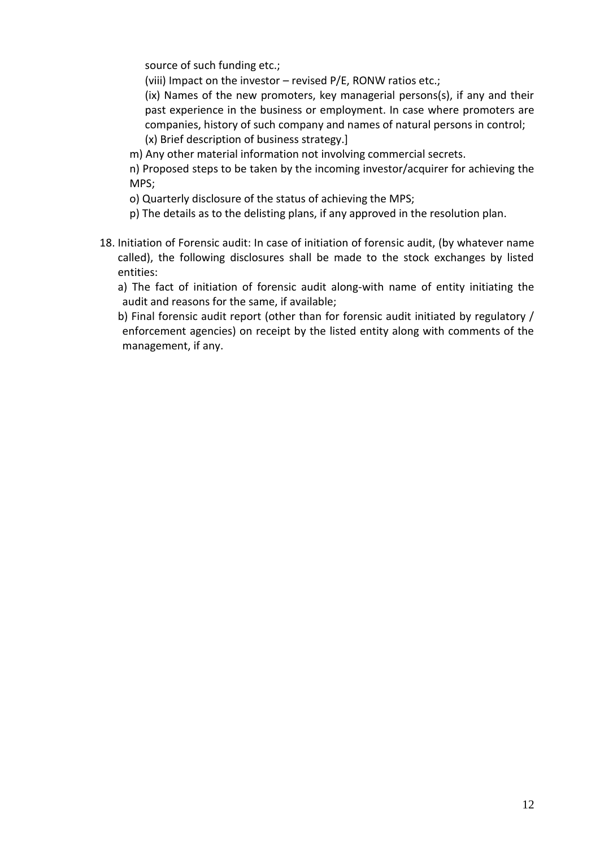source of such funding etc.;

(viii) Impact on the investor – revised P/E, RONW ratios etc.;

(ix) Names of the new promoters, key managerial persons(s), if any and their past experience in the business or employment. In case where promoters are companies, history of such company and names of natural persons in control; (x) Brief description of business strategy.]

m) Any other material information not involving commercial secrets.

n) Proposed steps to be taken by the incoming investor/acquirer for achieving the MPS;

- o) Quarterly disclosure of the status of achieving the MPS;
- p) The details as to the delisting plans, if any approved in the resolution plan.
- 18. Initiation of Forensic audit: In case of initiation of forensic audit, (by whatever name called), the following disclosures shall be made to the stock exchanges by listed entities:
	- a) The fact of initiation of forensic audit along-with name of entity initiating the audit and reasons for the same, if available;
	- b) Final forensic audit report (other than for forensic audit initiated by regulatory / enforcement agencies) on receipt by the listed entity along with comments of the management, if any.